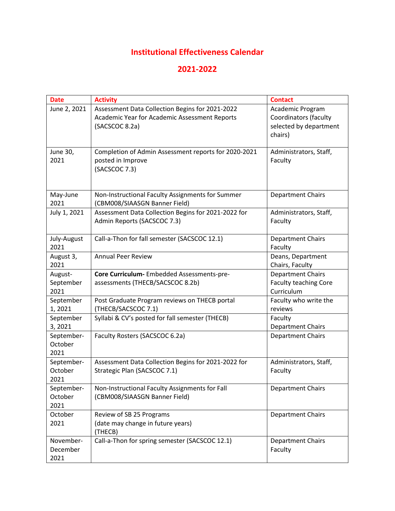## **Institutional Effectiveness Calendar**

## **2021-2022**

| <b>Date</b>           | <b>Activity</b>                                                           | <b>Contact</b>                             |
|-----------------------|---------------------------------------------------------------------------|--------------------------------------------|
| June 2, 2021          | Assessment Data Collection Begins for 2021-2022                           | Academic Program                           |
|                       | Academic Year for Academic Assessment Reports                             | <b>Coordinators (faculty</b>               |
|                       | (SACSCOC 8.2a)                                                            | selected by department                     |
|                       |                                                                           | chairs)                                    |
|                       |                                                                           |                                            |
| June 30,<br>2021      | Completion of Admin Assessment reports for 2020-2021<br>posted in Improve | Administrators, Staff,<br>Faculty          |
|                       | (SACSCOC 7.3)                                                             |                                            |
|                       |                                                                           |                                            |
|                       |                                                                           |                                            |
| May-June              | Non-Instructional Faculty Assignments for Summer                          | <b>Department Chairs</b>                   |
| 2021                  | (CBM008/SIAASGN Banner Field)                                             |                                            |
| July 1, 2021          | Assessment Data Collection Begins for 2021-2022 for                       | Administrators, Staff,                     |
|                       | Admin Reports (SACSCOC 7.3)                                               | Faculty                                    |
|                       |                                                                           |                                            |
| July-August           | Call-a-Thon for fall semester (SACSCOC 12.1)                              | <b>Department Chairs</b>                   |
| 2021                  |                                                                           | Faculty                                    |
| August 3,             | <b>Annual Peer Review</b>                                                 | Deans, Department                          |
| 2021                  |                                                                           | Chairs, Faculty                            |
| August-               | Core Curriculum- Embedded Assessments-pre-                                | <b>Department Chairs</b>                   |
| September<br>2021     | assessments (THECB/SACSCOC 8.2b)                                          | <b>Faculty teaching Core</b><br>Curriculum |
| September             | Post Graduate Program reviews on THECB portal                             | Faculty who write the                      |
| 1,2021                | (THECB/SACSCOC 7.1)                                                       | reviews                                    |
| September             | Syllabi & CV's posted for fall semester (THECB)                           | Faculty                                    |
| 3, 2021               |                                                                           | <b>Department Chairs</b>                   |
| September-            | Faculty Rosters (SACSCOC 6.2a)                                            | <b>Department Chairs</b>                   |
| October               |                                                                           |                                            |
| 2021                  |                                                                           |                                            |
| September-            | Assessment Data Collection Begins for 2021-2022 for                       | Administrators, Staff,                     |
| October               | Strategic Plan (SACSCOC 7.1)                                              | Faculty                                    |
| 2021                  |                                                                           |                                            |
| September-            | Non-Instructional Faculty Assignments for Fall                            | <b>Department Chairs</b>                   |
| October               | (CBM008/SIAASGN Banner Field)                                             |                                            |
| 2021                  |                                                                           |                                            |
| October               | Review of SB 25 Programs                                                  | <b>Department Chairs</b>                   |
| 2021                  | (date may change in future years)                                         |                                            |
|                       | (THECB)                                                                   |                                            |
| November-<br>December | Call-a-Thon for spring semester (SACSCOC 12.1)                            | <b>Department Chairs</b><br>Faculty        |
| 2021                  |                                                                           |                                            |